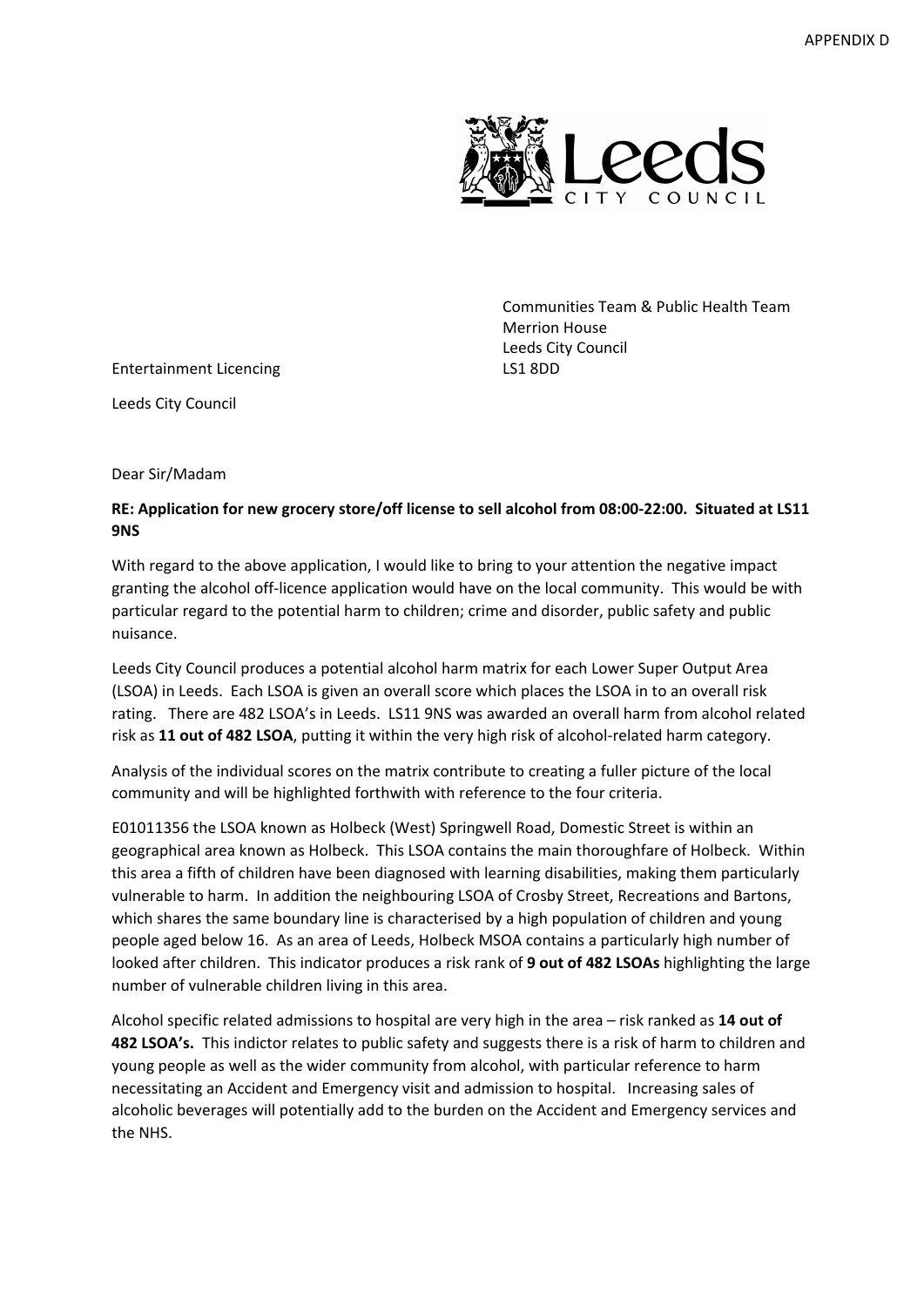

Communities Team & Public Health Team Merrion House Leeds City Council

Entertainment Licencing LS1 8DD

Leeds City Council

Dear Sir/Madam

## RE: Application for new grocery store/off license to sell alcohol from 08:00-22:00. Situated at LS11 **9NS**

With regard to the above application, I would like to bring to your attention the negative impact granting the alcohol off-licence application would have on the local community. This would be with particular regard to the potential harm to children; crime and disorder, public safety and public nuisance.

Leeds City Council produces a potential alcohol harm matrix for each Lower Super Output Area (LSOA) in Leeds. Each LSOA is given an overall score which places the LSOA in to an overall risk rating. There are 482 LSOA's in Leeds. LS11 9NS was awarded an overall harm from alcohol related risk as **11 out of 482 LSOA**, putting it within the very high risk of alcohol‐related harm category.

Analysis of the individual scores on the matrix contribute to creating a fuller picture of the local community and will be highlighted forthwith with reference to the four criteria.

E01011356 the LSOA known as Holbeck (West) Springwell Road, Domestic Street is within an geographical area known as Holbeck. This LSOA contains the main thoroughfare of Holbeck. Within this area a fifth of children have been diagnosed with learning disabilities, making them particularly vulnerable to harm. In addition the neighbouring LSOA of Crosby Street, Recreations and Bartons, which shares the same boundary line is characterised by a high population of children and young people aged below 16. As an area of Leeds, Holbeck MSOA contains a particularly high number of looked after children. This indicator produces a risk rank of **9 out of 482 LSOAs** highlighting the large number of vulnerable children living in this area.

Alcohol specific related admissions to hospital are very high in the area – risk ranked as **14 out of 482 LSOA's.** This indictor relates to public safety and suggests there is a risk of harm to children and young people as well as the wider community from alcohol, with particular reference to harm necessitating an Accident and Emergency visit and admission to hospital. Increasing sales of alcoholic beverages will potentially add to the burden on the Accident and Emergency services and the NHS.